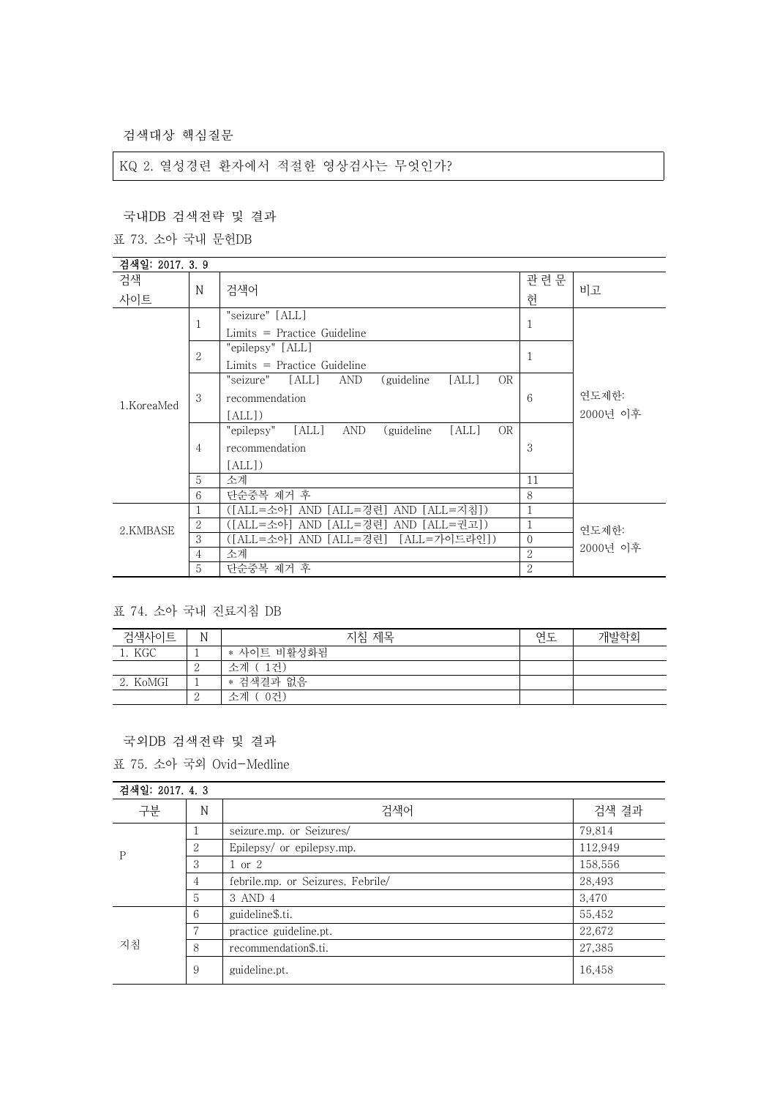검색대상 핵심질문

KQ 2. 열성경련 환자에서 적절한 영상검사는 무엇인가?

| 국내DB 검색전략 및 결과   |                 |                                                                                         |                |                   |
|------------------|-----------------|-----------------------------------------------------------------------------------------|----------------|-------------------|
| 표 73. 소아 국내 문헌DB |                 |                                                                                         |                |                   |
| 검색일: 2017. 3. 9  |                 |                                                                                         |                |                   |
| 검색<br>사이트        | N               | 검색어                                                                                     | 관련문<br>헌       | 비고                |
|                  | 1               | "seizure" [ALL]<br>$Limits = Practice Guide$                                            | 1              |                   |
|                  | $\mathfrak{2}$  | "epilepsy" [ALL]<br>$Limits = Practice Guide$                                           | 1              |                   |
| 1.KoreaMed       | 3               | "seizure" [ALL]<br>[ALL]<br>AND<br>(guideline)<br><b>OR</b><br>recommendation<br>[ALL]  | 6              | 연도제한:<br>2000년 이후 |
|                  | $\overline{4}$  | "epilepsy" [ALL]<br>AND<br>(guideline)<br>[ALL]<br><b>OR</b><br>recommendation<br>[ALL] | 3              |                   |
|                  | 5               | 소계                                                                                      | 11             |                   |
|                  | $6\overline{6}$ | 단순중복 제거 후                                                                               | 8              |                   |
|                  | 1               | ([ALL=소아] AND [ALL=경련] AND [ALL=지침])                                                    | 1              |                   |
| 2.KMBASE         | $\overline{2}$  | ([ALL=소아] AND [ALL=경련] AND [ALL=권고])                                                    | 1              | 연도제한:             |
|                  | 3               | ([ALL=소아] AND [ALL=경련] [ALL=가이드라인])                                                     | $\Omega$       | 2000년 이후          |
|                  | $\overline{4}$  | 소계                                                                                      | $\overline{2}$ |                   |
|                  | 5               | 단순중복 제거 후                                                                               | $\overline{2}$ |                   |

## 표 74. 소아 국내 진료지침 DB

| 검색사이트    | N             | 지침 제목       | 연도 | 개발학회 |
|----------|---------------|-------------|----|------|
| 1. KGC   |               | * 사이트 비활성화됨 |    |      |
|          | $\Omega$<br>↩ | 1거`<br>소계   |    |      |
| 2. KoMGI | <b>.</b>      | * 검색결과 없음   |    |      |
|          | $\Omega$<br>∠ | 0건)<br>소계   |    |      |

국외DB 검색전략 및 결과

표 75. 소아 국외 Ovid-Medline

| 검색일: 2017. 4. 3 |                |                                   |         |
|-----------------|----------------|-----------------------------------|---------|
| 구분              | N              | 검색어                               | 검색 결과   |
| P               |                | seizure.mp. or Seizures/          | 79,814  |
|                 | 2              | Epilepsy/ or epilepsy.mp.         | 112,949 |
|                 | 3              | $1 \text{ or } 2$                 | 158,556 |
|                 | 4              | febrile.mp. or Seizures, Febrile/ | 28,493  |
|                 | 5              | 3 AND 4                           | 3,470   |
| 지침              | 6              | guideline\$.ti.                   | 55,452  |
|                 | $\overline{7}$ | practice guideline.pt.            | 22,672  |
|                 | 8              | recommendation\$.ti.              | 27,385  |
|                 | 9              | guideline.pt.                     | 16,458  |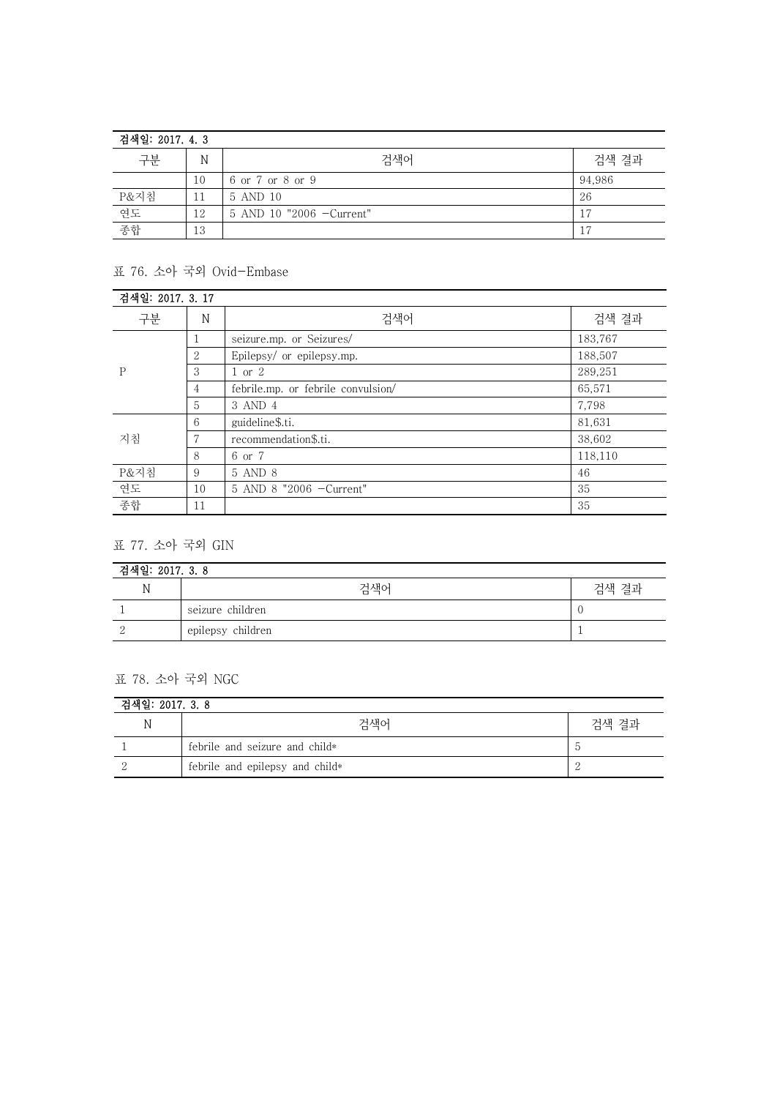| 검색일: 2017. 4. 3 |    |                          |        |
|-----------------|----|--------------------------|--------|
| 구분              | Ν  | 검색어                      | 검색 결과  |
|                 | 10 | 6 or 7 or 8 or 9         | 94,986 |
| P&지침            | 11 | 5 AND 10                 | 26     |
| 연도              | 12 | 5 AND 10 "2006 -Current" |        |
| 종합              | 13 |                          | 17     |

## 표 76. 소아 국외 Ovid-Embase

| 검색일: 2017. 3. 17 |    |                                    |         |
|------------------|----|------------------------------------|---------|
| 구분               | N  | 검색어                                | 검색 결과   |
| P                | 1  | seizure.mp. or Seizures/           | 183,767 |
|                  | 2  | Epilepsy/ or epilepsy.mp.          | 188,507 |
|                  | 3  | 1 or 2                             | 289,251 |
|                  | 4  | febrile.mp. or febrile convulsion/ | 65,571  |
|                  | 5  | 3 AND 4                            | 7,798   |
| 지침               | 6  | guideline\$.ti.                    | 81,631  |
|                  |    | recommendation\$.ti.               | 38,602  |
|                  | 8  | 6 or 7                             | 118,110 |
| P&지침             | 9  | 5 AND 8                            | 46      |
| 연도               | 10 | 5 AND 8 "2006 - Current"           | 35      |
| 종합               | 11 |                                    | 35      |

## 표 77. 소아 국외 GIN

| 검색일: 2017. 3. 8 |                   |       |  |
|-----------------|-------------------|-------|--|
| Ν               | 검색어               | 검색 결과 |  |
|                 | seizure children  |       |  |
|                 | epilepsy children |       |  |

## 표 78. 소아 국외 NGC

| 검색일: 2017. 3. 8 |                                 |       |  |
|-----------------|---------------------------------|-------|--|
| IΜ              | 검색어                             | 검색 결과 |  |
|                 | febrile and seizure and child*  |       |  |
|                 | febrile and epilepsy and child* |       |  |